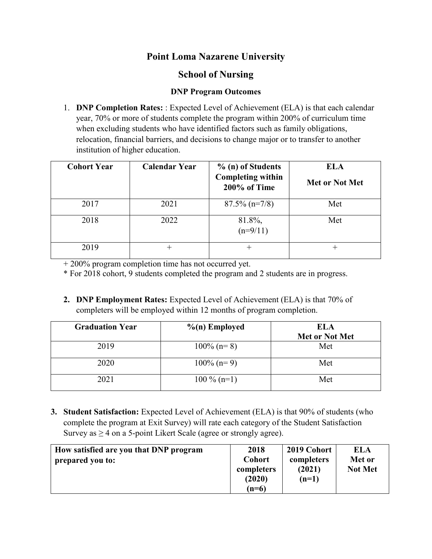## **Point Loma Nazarene University**

## **School of Nursing**

## **DNP Program Outcomes**

1. **DNP Completion Rates:** : Expected Level of Achievement (ELA) is that each calendar year, 70% or more of students complete the program within 200% of curriculum time when excluding students who have identified factors such as family obligations, relocation, financial barriers, and decisions to change major or to transfer to another institution of higher education.

| <b>Cohort Year</b> | <b>Calendar Year</b> | % (n) of Students                        | <b>ELA</b>     |
|--------------------|----------------------|------------------------------------------|----------------|
|                    |                      | <b>Completing within</b><br>200% of Time | Met or Not Met |
| 2017               | 2021                 | $87.5\%$ (n=7/8)                         | Met            |
| 2018               | 2022                 | 81.8%,<br>$(n=9/11)$                     | Met            |
| 2019               | $^+$                 | +                                        | +              |

+ 200% program completion time has not occurred yet.

\* For 2018 cohort, 9 students completed the program and 2 students are in progress.

**2. DNP Employment Rates:** Expected Level of Achievement (ELA) is that 70% of completers will be employed within 12 months of program completion.

| <b>Graduation Year</b> | $\%$ (n) Employed | <b>ELA</b>     |
|------------------------|-------------------|----------------|
|                        |                   | Met or Not Met |
| 2019                   | $100\%$ (n= 8)    | Met            |
| 2020                   | $100\%$ (n= 9)    | Met            |
| 2021                   | $100\%$ (n=1)     | Met            |

**3. Student Satisfaction:** Expected Level of Achievement (ELA) is that 90% of students (who complete the program at Exit Survey) will rate each category of the Student Satisfaction Survey as  $\geq$  4 on a 5-point Likert Scale (agree or strongly agree).

| How satisfied are you that DNP program<br>prepared you to: | 2018<br><b>Cohort</b><br>completers<br>(2020) | 2019 Cohort<br>completers<br>(2021)<br>$(n=1)$ | ELA<br>Met or<br><b>Not Met</b> |
|------------------------------------------------------------|-----------------------------------------------|------------------------------------------------|---------------------------------|
|                                                            | $(n=6)$                                       |                                                |                                 |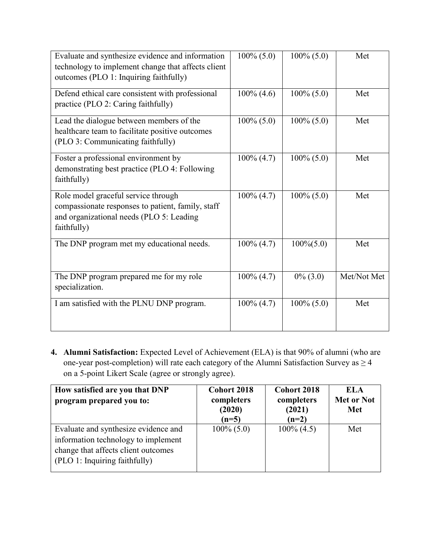| Evaluate and synthesize evidence and information<br>technology to implement change that affects client<br>outcomes (PLO 1: Inquiring faithfully)    | $100\%$ (5.0) | $100\%$ (5.0) | Met         |
|-----------------------------------------------------------------------------------------------------------------------------------------------------|---------------|---------------|-------------|
| Defend ethical care consistent with professional<br>practice (PLO 2: Caring faithfully)                                                             | $100\%$ (4.6) | $100\% (5.0)$ | Met         |
| Lead the dialogue between members of the<br>healthcare team to facilitate positive outcomes<br>(PLO 3: Communicating faithfully)                    | $100\% (5.0)$ | $100\% (5.0)$ | Met         |
| Foster a professional environment by<br>demonstrating best practice (PLO 4: Following<br>faithfully)                                                | $100\% (4.7)$ | $100\% (5.0)$ | Met         |
| Role model graceful service through<br>compassionate responses to patient, family, staff<br>and organizational needs (PLO 5: Leading<br>faithfully) | $100\% (4.7)$ | $100\% (5.0)$ | Met         |
| The DNP program met my educational needs.                                                                                                           | $100\% (4.7)$ | $100\%(5.0)$  | Met         |
| The DNP program prepared me for my role<br>specialization.                                                                                          | $100\% (4.7)$ | $0\%$ (3.0)   | Met/Not Met |
| I am satisfied with the PLNU DNP program.                                                                                                           | $100\% (4.7)$ | $100\% (5.0)$ | Met         |

**4. Alumni Satisfaction:** Expected Level of Achievement (ELA) is that 90% of alumni (who are one-year post-completion) will rate each category of the Alumni Satisfaction Survey as  $\geq$  4 on a 5-point Likert Scale (agree or strongly agree).

| How satisfied are you that DNP<br>program prepared you to:                                                                                          | <b>Cohort 2018</b><br>completers<br>(2020)<br>$(n=5)$ | <b>Cohort 2018</b><br>completers<br>(2021)<br>$(n=2)$ | ELA<br><b>Met or Not</b><br><b>Met</b> |
|-----------------------------------------------------------------------------------------------------------------------------------------------------|-------------------------------------------------------|-------------------------------------------------------|----------------------------------------|
| Evaluate and synthesize evidence and<br>information technology to implement<br>change that affects client outcomes<br>(PLO 1: Inquiring faithfully) | $100\% (5.0)$                                         | $100\%$ (4.5)                                         | Met                                    |